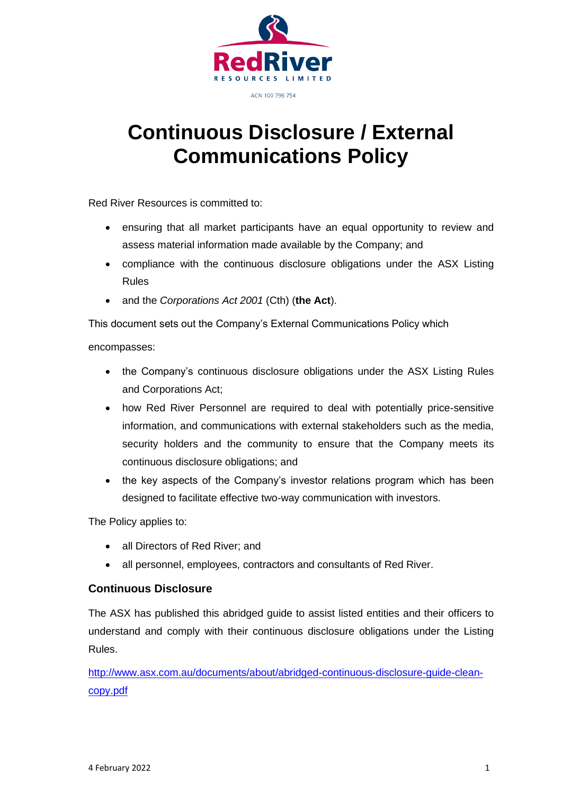

# **Continuous Disclosure / External Communications Policy**

Red River Resources is committed to:

- ensuring that all market participants have an equal opportunity to review and assess material information made available by the Company; and
- compliance with the continuous disclosure obligations under the ASX Listing Rules
- and the *Corporations Act 2001* (Cth) (**the Act**).

This document sets out the Company's External Communications Policy which

encompasses:

- the Company's continuous disclosure obligations under the ASX Listing Rules and Corporations Act;
- how Red River Personnel are required to deal with potentially price-sensitive information, and communications with external stakeholders such as the media, security holders and the community to ensure that the Company meets its continuous disclosure obligations; and
- the key aspects of the Company's investor relations program which has been designed to facilitate effective two-way communication with investors.

The Policy applies to:

- all Directors of Red River; and
- all personnel, employees, contractors and consultants of Red River.

# **Continuous Disclosure**

The ASX has published this abridged guide to assist listed entities and their officers to understand and comply with their continuous disclosure obligations under the Listing Rules.

[http://www.asx.com.au/documents/about/abridged-continuous-disclosure-guide-clean](http://www.asx.com.au/documents/about/abridged-continuous-disclosure-guide-clean-copy.pdf)[copy.pdf](http://www.asx.com.au/documents/about/abridged-continuous-disclosure-guide-clean-copy.pdf)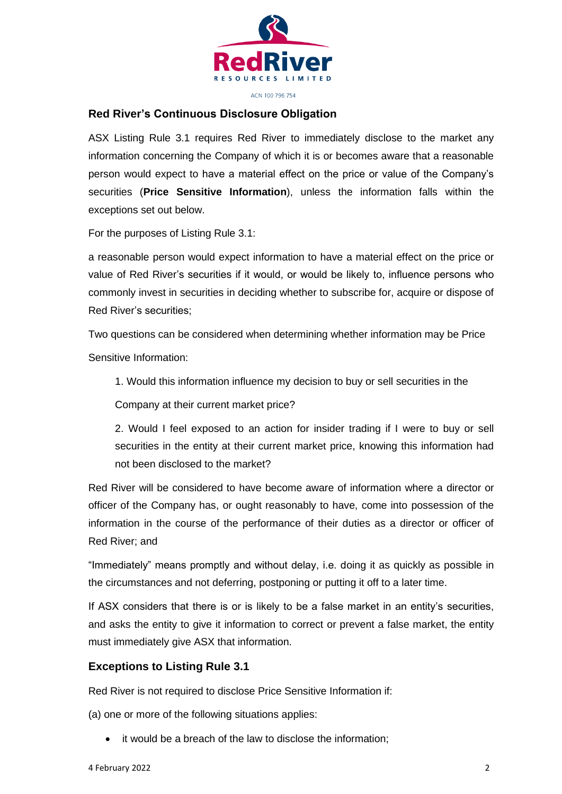

#### ACN 100 796 754

#### **Red River's Continuous Disclosure Obligation**

ASX Listing Rule 3.1 requires Red River to immediately disclose to the market any information concerning the Company of which it is or becomes aware that a reasonable person would expect to have a material effect on the price or value of the Company's securities (**Price Sensitive Information**), unless the information falls within the exceptions set out below.

For the purposes of Listing Rule 3.1:

a reasonable person would expect information to have a material effect on the price or value of Red River's securities if it would, or would be likely to, influence persons who commonly invest in securities in deciding whether to subscribe for, acquire or dispose of Red River's securities;

Two questions can be considered when determining whether information may be Price Sensitive Information:

1. Would this information influence my decision to buy or sell securities in the

Company at their current market price?

2. Would I feel exposed to an action for insider trading if I were to buy or sell securities in the entity at their current market price, knowing this information had not been disclosed to the market?

Red River will be considered to have become aware of information where a director or officer of the Company has, or ought reasonably to have, come into possession of the information in the course of the performance of their duties as a director or officer of Red River; and

"Immediately" means promptly and without delay, i.e. doing it as quickly as possible in the circumstances and not deferring, postponing or putting it off to a later time.

If ASX considers that there is or is likely to be a false market in an entity's securities, and asks the entity to give it information to correct or prevent a false market, the entity must immediately give ASX that information.

#### **Exceptions to Listing Rule 3.1**

Red River is not required to disclose Price Sensitive Information if:

(a) one or more of the following situations applies:

• it would be a breach of the law to disclose the information;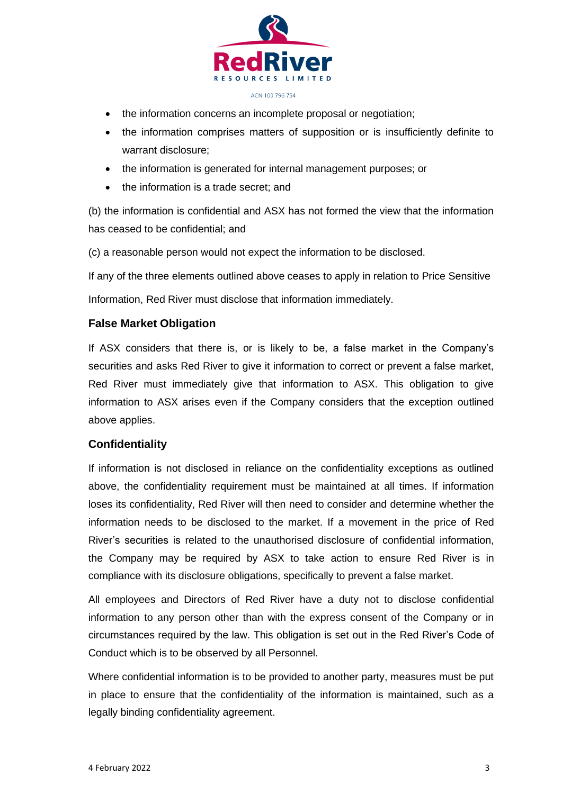

- the information concerns an incomplete proposal or negotiation;
- the information comprises matters of supposition or is insufficiently definite to warrant disclosure;
- the information is generated for internal management purposes; or
- the information is a trade secret; and

(b) the information is confidential and ASX has not formed the view that the information has ceased to be confidential; and

(c) a reasonable person would not expect the information to be disclosed.

If any of the three elements outlined above ceases to apply in relation to Price Sensitive

Information, Red River must disclose that information immediately.

# **False Market Obligation**

If ASX considers that there is, or is likely to be, a false market in the Company's securities and asks Red River to give it information to correct or prevent a false market, Red River must immediately give that information to ASX. This obligation to give information to ASX arises even if the Company considers that the exception outlined above applies.

# **Confidentiality**

If information is not disclosed in reliance on the confidentiality exceptions as outlined above, the confidentiality requirement must be maintained at all times. If information loses its confidentiality, Red River will then need to consider and determine whether the information needs to be disclosed to the market. If a movement in the price of Red River's securities is related to the unauthorised disclosure of confidential information, the Company may be required by ASX to take action to ensure Red River is in compliance with its disclosure obligations, specifically to prevent a false market.

All employees and Directors of Red River have a duty not to disclose confidential information to any person other than with the express consent of the Company or in circumstances required by the law. This obligation is set out in the Red River's Code of Conduct which is to be observed by all Personnel.

Where confidential information is to be provided to another party, measures must be put in place to ensure that the confidentiality of the information is maintained, such as a legally binding confidentiality agreement.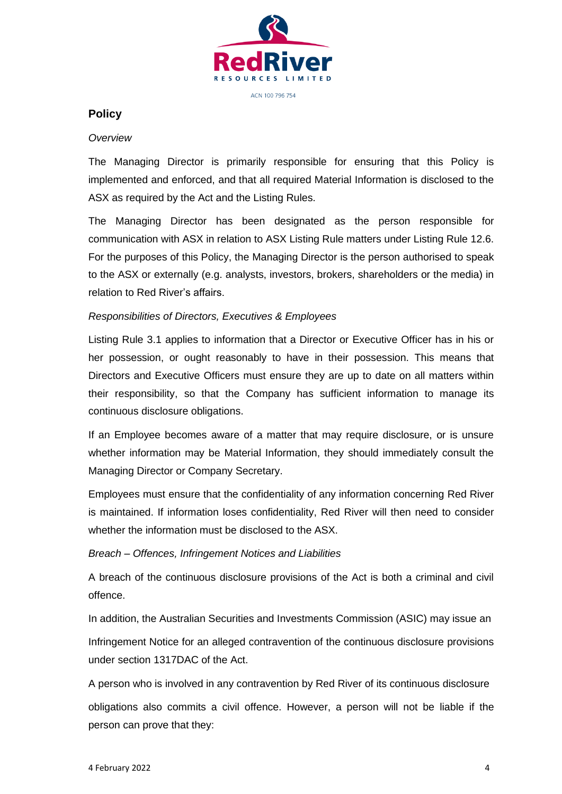

#### **Policy**

#### *Overview*

The Managing Director is primarily responsible for ensuring that this Policy is implemented and enforced, and that all required Material Information is disclosed to the ASX as required by the Act and the Listing Rules.

The Managing Director has been designated as the person responsible for communication with ASX in relation to ASX Listing Rule matters under Listing Rule 12.6. For the purposes of this Policy, the Managing Director is the person authorised to speak to the ASX or externally (e.g. analysts, investors, brokers, shareholders or the media) in relation to Red River's affairs.

#### *Responsibilities of Directors, Executives & Employees*

Listing Rule 3.1 applies to information that a Director or Executive Officer has in his or her possession, or ought reasonably to have in their possession. This means that Directors and Executive Officers must ensure they are up to date on all matters within their responsibility, so that the Company has sufficient information to manage its continuous disclosure obligations.

If an Employee becomes aware of a matter that may require disclosure, or is unsure whether information may be Material Information, they should immediately consult the Managing Director or Company Secretary.

Employees must ensure that the confidentiality of any information concerning Red River is maintained. If information loses confidentiality, Red River will then need to consider whether the information must be disclosed to the ASX.

#### *Breach – Offences, Infringement Notices and Liabilities*

A breach of the continuous disclosure provisions of the Act is both a criminal and civil offence.

In addition, the Australian Securities and Investments Commission (ASIC) may issue an Infringement Notice for an alleged contravention of the continuous disclosure provisions under section 1317DAC of the Act.

A person who is involved in any contravention by Red River of its continuous disclosure obligations also commits a civil offence. However, a person will not be liable if the person can prove that they: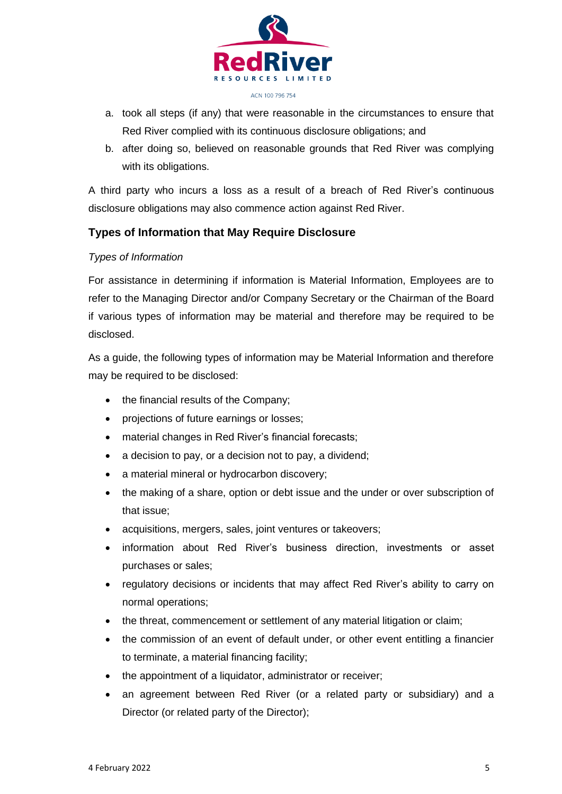

- a. took all steps (if any) that were reasonable in the circumstances to ensure that Red River complied with its continuous disclosure obligations; and
- b. after doing so, believed on reasonable grounds that Red River was complying with its obligations.

A third party who incurs a loss as a result of a breach of Red River's continuous disclosure obligations may also commence action against Red River.

# **Types of Information that May Require Disclosure**

# *Types of Information*

For assistance in determining if information is Material Information, Employees are to refer to the Managing Director and/or Company Secretary or the Chairman of the Board if various types of information may be material and therefore may be required to be disclosed.

As a guide, the following types of information may be Material Information and therefore may be required to be disclosed:

- the financial results of the Company;
- projections of future earnings or losses;
- material changes in Red River's financial forecasts;
- a decision to pay, or a decision not to pay, a dividend;
- a material mineral or hydrocarbon discovery;
- the making of a share, option or debt issue and the under or over subscription of that issue;
- acquisitions, mergers, sales, joint ventures or takeovers;
- information about Red River's business direction, investments or asset purchases or sales;
- regulatory decisions or incidents that may affect Red River's ability to carry on normal operations;
- the threat, commencement or settlement of any material litigation or claim;
- the commission of an event of default under, or other event entitling a financier to terminate, a material financing facility;
- the appointment of a liquidator, administrator or receiver;
- an agreement between Red River (or a related party or subsidiary) and a Director (or related party of the Director);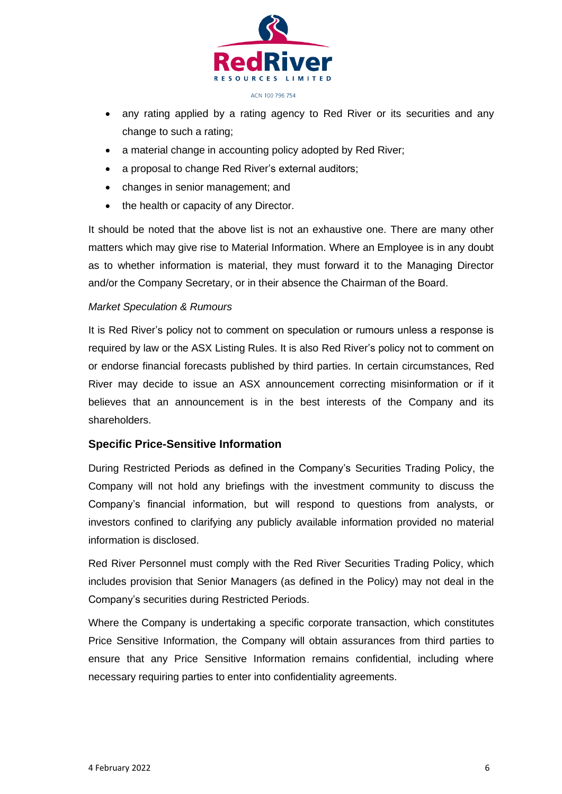

- any rating applied by a rating agency to Red River or its securities and any change to such a rating;
- a material change in accounting policy adopted by Red River;
- a proposal to change Red River's external auditors;
- changes in senior management; and
- the health or capacity of any Director.

It should be noted that the above list is not an exhaustive one. There are many other matters which may give rise to Material Information. Where an Employee is in any doubt as to whether information is material, they must forward it to the Managing Director and/or the Company Secretary, or in their absence the Chairman of the Board.

#### *Market Speculation & Rumours*

It is Red River's policy not to comment on speculation or rumours unless a response is required by law or the ASX Listing Rules. It is also Red River's policy not to comment on or endorse financial forecasts published by third parties. In certain circumstances, Red River may decide to issue an ASX announcement correcting misinformation or if it believes that an announcement is in the best interests of the Company and its shareholders.

# **Specific Price-Sensitive Information**

During Restricted Periods as defined in the Company's Securities Trading Policy, the Company will not hold any briefings with the investment community to discuss the Company's financial information, but will respond to questions from analysts, or investors confined to clarifying any publicly available information provided no material information is disclosed.

Red River Personnel must comply with the Red River Securities Trading Policy, which includes provision that Senior Managers (as defined in the Policy) may not deal in the Company's securities during Restricted Periods.

Where the Company is undertaking a specific corporate transaction, which constitutes Price Sensitive Information, the Company will obtain assurances from third parties to ensure that any Price Sensitive Information remains confidential, including where necessary requiring parties to enter into confidentiality agreements.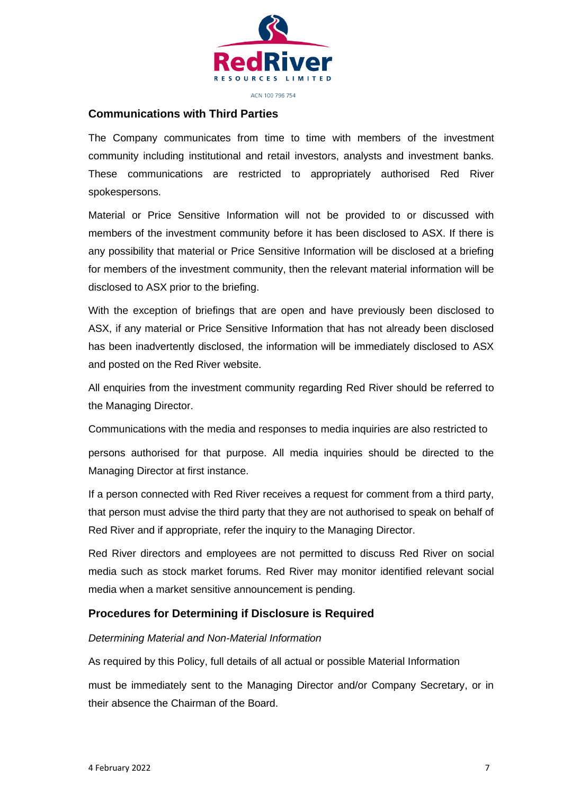

ACN 100 796 754

# **Communications with Third Parties**

The Company communicates from time to time with members of the investment community including institutional and retail investors, analysts and investment banks. These communications are restricted to appropriately authorised Red River spokespersons.

Material or Price Sensitive Information will not be provided to or discussed with members of the investment community before it has been disclosed to ASX. If there is any possibility that material or Price Sensitive Information will be disclosed at a briefing for members of the investment community, then the relevant material information will be disclosed to ASX prior to the briefing.

With the exception of briefings that are open and have previously been disclosed to ASX, if any material or Price Sensitive Information that has not already been disclosed has been inadvertently disclosed, the information will be immediately disclosed to ASX and posted on the Red River website.

All enquiries from the investment community regarding Red River should be referred to the Managing Director.

Communications with the media and responses to media inquiries are also restricted to

persons authorised for that purpose. All media inquiries should be directed to the Managing Director at first instance.

If a person connected with Red River receives a request for comment from a third party, that person must advise the third party that they are not authorised to speak on behalf of Red River and if appropriate, refer the inquiry to the Managing Director.

Red River directors and employees are not permitted to discuss Red River on social media such as stock market forums. Red River may monitor identified relevant social media when a market sensitive announcement is pending.

# **Procedures for Determining if Disclosure is Required**

#### *Determining Material and Non-Material Information*

As required by this Policy, full details of all actual or possible Material Information

must be immediately sent to the Managing Director and/or Company Secretary, or in their absence the Chairman of the Board.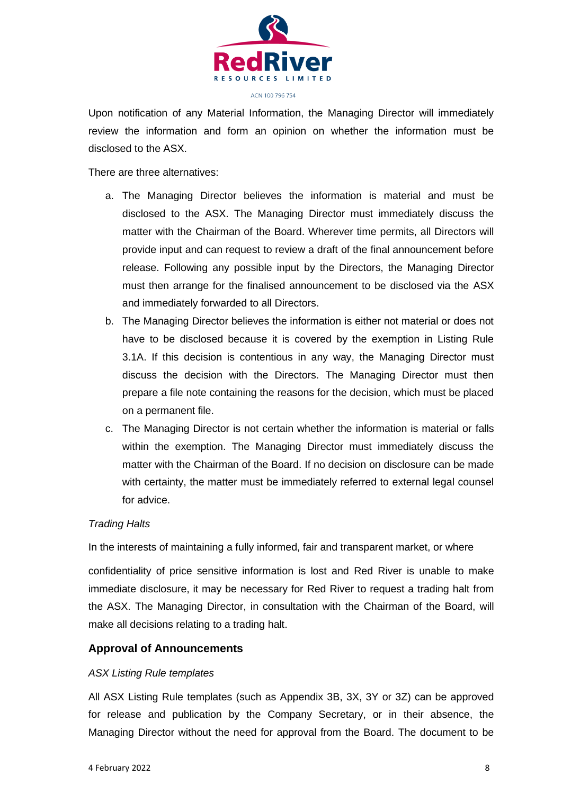

Upon notification of any Material Information, the Managing Director will immediately review the information and form an opinion on whether the information must be disclosed to the ASX.

There are three alternatives:

- a. The Managing Director believes the information is material and must be disclosed to the ASX. The Managing Director must immediately discuss the matter with the Chairman of the Board. Wherever time permits, all Directors will provide input and can request to review a draft of the final announcement before release. Following any possible input by the Directors, the Managing Director must then arrange for the finalised announcement to be disclosed via the ASX and immediately forwarded to all Directors.
- b. The Managing Director believes the information is either not material or does not have to be disclosed because it is covered by the exemption in Listing Rule 3.1A. If this decision is contentious in any way, the Managing Director must discuss the decision with the Directors. The Managing Director must then prepare a file note containing the reasons for the decision, which must be placed on a permanent file.
- c. The Managing Director is not certain whether the information is material or falls within the exemption. The Managing Director must immediately discuss the matter with the Chairman of the Board. If no decision on disclosure can be made with certainty, the matter must be immediately referred to external legal counsel for advice.

# *Trading Halts*

In the interests of maintaining a fully informed, fair and transparent market, or where

confidentiality of price sensitive information is lost and Red River is unable to make immediate disclosure, it may be necessary for Red River to request a trading halt from the ASX. The Managing Director, in consultation with the Chairman of the Board, will make all decisions relating to a trading halt.

# **Approval of Announcements**

#### *ASX Listing Rule templates*

All ASX Listing Rule templates (such as Appendix 3B, 3X, 3Y or 3Z) can be approved for release and publication by the Company Secretary, or in their absence, the Managing Director without the need for approval from the Board. The document to be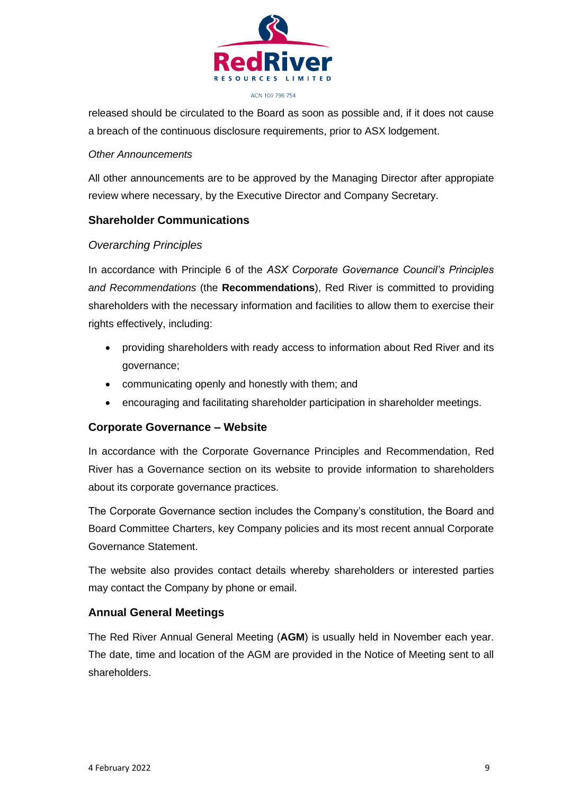

released should be circulated to the Board as soon as possible and, if it does not cause a breach of the continuous disclosure requirements, prior to ASX lodgement.

#### *Other Announcements*

All other announcements are to be approved by the Managing Director after appropiate review where necessary, by the Executive Director and Company Secretary.

# **Shareholder Communications**

# *Overarching Principles*

In accordance with Principle 6 of the *ASX Corporate Governance Council's Principles and Recommendations* (the **Recommendations**), Red River is committed to providing shareholders with the necessary information and facilities to allow them to exercise their rights effectively, including:

- providing shareholders with ready access to information about Red River and its governance;
- communicating openly and honestly with them; and
- encouraging and facilitating shareholder participation in shareholder meetings.

# **Corporate Governance – Website**

In accordance with the Corporate Governance Principles and Recommendation, Red River has a Governance section on its website to provide information to shareholders about its corporate governance practices.

The Corporate Governance section includes the Company's constitution, the Board and Board Committee Charters, key Company policies and its most recent annual Corporate Governance Statement.

The website also provides contact details whereby shareholders or interested parties may contact the Company by phone or email.

# **Annual General Meetings**

The Red River Annual General Meeting (**AGM**) is usually held in November each year. The date, time and location of the AGM are provided in the Notice of Meeting sent to all shareholders.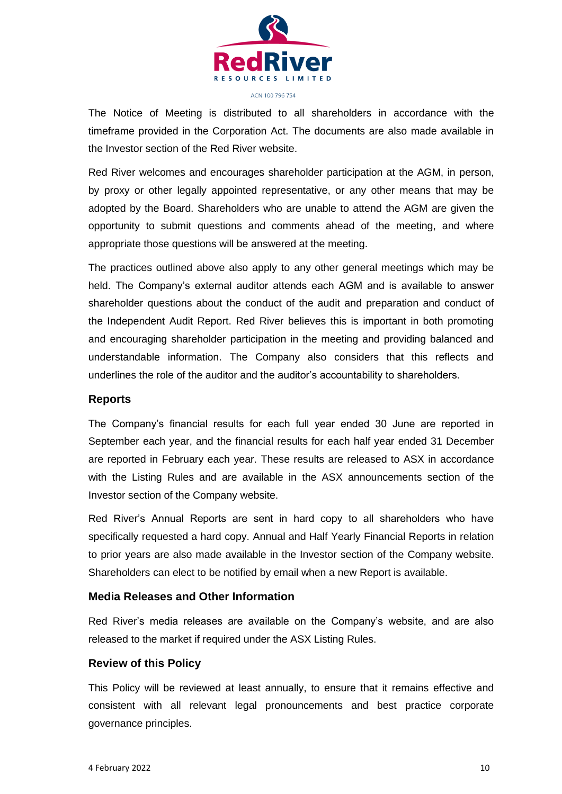

The Notice of Meeting is distributed to all shareholders in accordance with the timeframe provided in the Corporation Act. The documents are also made available in the Investor section of the Red River website.

Red River welcomes and encourages shareholder participation at the AGM, in person, by proxy or other legally appointed representative, or any other means that may be adopted by the Board. Shareholders who are unable to attend the AGM are given the opportunity to submit questions and comments ahead of the meeting, and where appropriate those questions will be answered at the meeting.

The practices outlined above also apply to any other general meetings which may be held. The Company's external auditor attends each AGM and is available to answer shareholder questions about the conduct of the audit and preparation and conduct of the Independent Audit Report. Red River believes this is important in both promoting and encouraging shareholder participation in the meeting and providing balanced and understandable information. The Company also considers that this reflects and underlines the role of the auditor and the auditor's accountability to shareholders.

#### **Reports**

The Company's financial results for each full year ended 30 June are reported in September each year, and the financial results for each half year ended 31 December are reported in February each year. These results are released to ASX in accordance with the Listing Rules and are available in the ASX announcements section of the Investor section of the Company website.

Red River's Annual Reports are sent in hard copy to all shareholders who have specifically requested a hard copy. Annual and Half Yearly Financial Reports in relation to prior years are also made available in the Investor section of the Company website. Shareholders can elect to be notified by email when a new Report is available.

#### **Media Releases and Other Information**

Red River's media releases are available on the Company's website, and are also released to the market if required under the ASX Listing Rules.

#### **Review of this Policy**

This Policy will be reviewed at least annually, to ensure that it remains effective and consistent with all relevant legal pronouncements and best practice corporate governance principles.